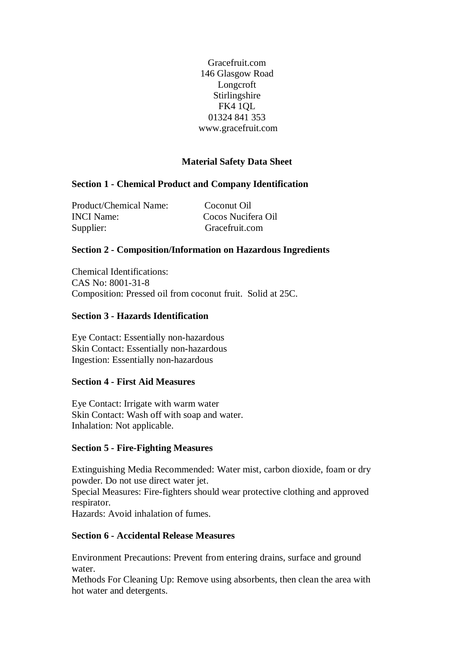Gracefruit.com 146 Glasgow Road Longcroft Stirlingshire FK4 1QL 01324 841 353 www.gracefruit.com

## **Material Safety Data Sheet**

## **Section 1 - Chemical Product and Company Identification**

Product/Chemical Name: Coconut Oil INCI Name: Cocos Nucifera Oil Supplier: Gracefruit.com

## **Section 2 - Composition/Information on Hazardous Ingredients**

Chemical Identifications: CAS No: 8001-31-8 Composition: Pressed oil from coconut fruit. Solid at 25C.

#### **Section 3 - Hazards Identification**

Eye Contact: Essentially non-hazardous Skin Contact: Essentially non-hazardous Ingestion: Essentially non-hazardous

## **Section 4 - First Aid Measures**

Eye Contact: Irrigate with warm water Skin Contact: Wash off with soap and water. Inhalation: Not applicable.

#### **Section 5 - Fire-Fighting Measures**

Extinguishing Media Recommended: Water mist, carbon dioxide, foam or dry powder. Do not use direct water jet.

Special Measures: Fire-fighters should wear protective clothing and approved respirator.

Hazards: Avoid inhalation of fumes.

## **Section 6 - Accidental Release Measures**

Environment Precautions: Prevent from entering drains, surface and ground water.

Methods For Cleaning Up: Remove using absorbents, then clean the area with hot water and detergents.